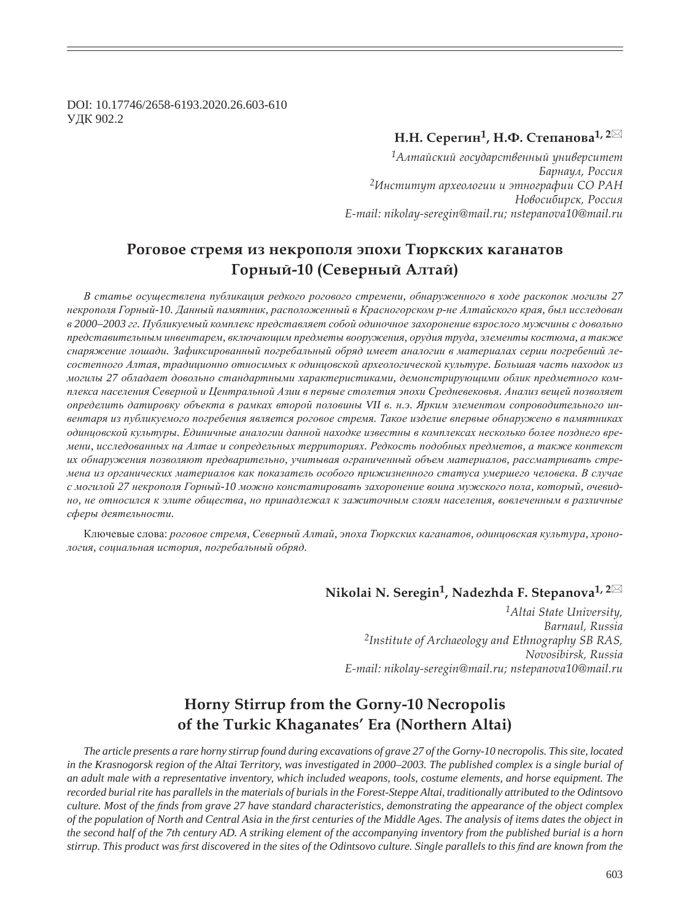DOI: 10.17746/2658-6193.2020.26.603-610 ɍȾɄ 902.2

## $H.H.$  Серегин<sup>1</sup>, Н.Ф. Степанова<sup>1, 2⊠</sup>

<sup>1</sup>Алтайский государственный университет Барнаул, Россия *<sup>2</sup>ǶțȟȠȖȠȡȠ ȎȞȣȓȜșȜȑȖȖ Ȗ ȫȠțȜȑȞȎȢȖȖ ǿǼ ǾǮǻ*  $H$ овосибирск, Россия *E-mail: nikolay-seregin@mail.ru; nstepanova10@mail.ru*

# Роговое стремя из некрополя эпохи Тюркских каганатов  $\Gamma$ орный-10 (Северный Алтай)

*ȼ ɫɬɚɬɶɟ ɨɫɭɳɟɫɬɜɥɟɧɚ ɩɭɛɥɢɤɚɰɢɹ ɪɟɞɤɨɝɨ ɪɨɝɨɜɨɝɨ ɫɬɪɟɦɟɧɢ, ɨɛɧɚɪɭɠɟɧɧɨɝɨ ɜ ɯɨɞɟ ɪɚɫɤɨɩɨɤ ɦɨɝɢɥɵ 27*  некрополя Горный-10. Данный памятник, расположенный в Красногорском р-не Алтайского края, был исследован *ɜ 2000–2003 ɝɝ. ɉɭɛɥɢɤɭɟɦɵɣ ɤɨɦɩɥɟɤɫ ɩɪɟɞɫɬɚɜɥɹɟɬ ɫɨɛɨɣ ɨɞɢɧɨɱɧɨɟ ɡɚɯɨɪɨɧɟɧɢɟ ɜɡɪɨɫɥɨɝɨ ɦɭɠɱɢɧɵ ɫ ɞɨɜɨɥɶɧɨ* лредставительным инвентарем, включающим предметы вооружения, орудия труда, элементы костюма, а также снаряжение лошади. Зафиксированный погребальный обряд имеет аналогии в материалах серии погребений ле*ɫɨɫɬɟɩɧɨɝɨ Ⱥɥɬɚɹ, ɬɪɚɞɢɰɢɨɧɧɨ ɨɬɧɨɫɢɦɵɯ ɤ ɨɞɢɧɰɨɜɫɤɨɣ ɚɪɯɟɨɥɨɝɢɱɟɫɤɨɣ ɤɭɥɶɬɭɪɟ. Ȼɨɥɶɲɚɹ ɱɚɫɬɶ ɧɚɯɨɞɨɤ ɢɡ* могилы 27 обладает довольно стандартными характеристиками, демонстрирующими облик предметного комплекса населения Северной и Центральной Азии в первые столетия эпохи Средневековья. Анализ вещей позволяет определить датировку объекта в рамках второй половины VII в. н.э. Ярким элементом сопроводительного ин**вентаря из публикуемого погребения является роговое стремя. Такое изделие впервые обнаружено в памятниках**  $\delta$ диниовской культуры. Единичные аналогии данной находке известны в комплексах несколько более позднего вре*мени, исследованных на Алтае и сопредельных территориях. Редкость подобных предметов, а также контекст* их обнаружения позволяют предварительно, учитывая ограниченный объем материалов, рассматривать стремена из органических материалов как показатель особого прижизненного статуса умершего человека. В случае *ɫ ɦɨɝɢɥɨɣ 27 ɧɟɤɪɨɩɨɥɹ Ƚɨɪɧɵɣ-10 ɦɨɠɧɨ ɤɨɧɫɬɚɬɢɪɨɜɚɬɶ ɡɚɯɨɪɨɧɟɧɢɟ ɜɨɢɧɚ ɦɭɠɫɤɨɝɨ ɩɨɥɚ, ɤɨɬɨɪɵɣ, ɨɱɟɜɢɞ*но, не относился к элите общества, но принадлежал к зажиточным слоям населения, вовлеченным в различные  $c$ феры деятельности.

Ключевые слова: роговое стремя, Северный Алтай, эпоха Тюркских каганатов, одинцовская культура, хронодогия, социальная история, погребальный обряд.

# **Nikolai N. Seregin1, Nadezhda F. Stepanova1, 2**

*1Altai State University, Barnaul, Russia 2Institute of Archaeology and Ethnography SB RAS, Novosibirsk, Russia E-mail: nikolay-seregin@mail.ru; nstepanova10@mail.ru*

# **Horny Stirrup from the Gorny-10 Necropolis of the Turkic Khaganates' Era (Northern Altai)**

*The article presents a rare horny stirrup found during excavations of grave 27 of the Gorny-10 necropolis. This site, located in the Krasnogorsk region of the Altai Territory, was investigated in 2000–2003. The published complex is a single burial of an adult male with a representative inventory, which included weapons, tools, costume elements, and horse equipment. The recorded burial rite has parallels in the materials of burials in the Forest-Steppe Altai, traditionally attributed to the Odintsovo culture. Most of the finds from grave 27 have standard characteristics, demonstrating the appearance of the object complex* of the population of North and Central Asia in the first centuries of the Middle Ages. The analysis of items dates the object in *the second half of the 7th century AD. A striking element of the accompanying inventory from the published burial is a horn stirrup. This product was ¿ rst discovered in the sites of the Odintsovo culture. Single parallels to this ¿ nd are known from the*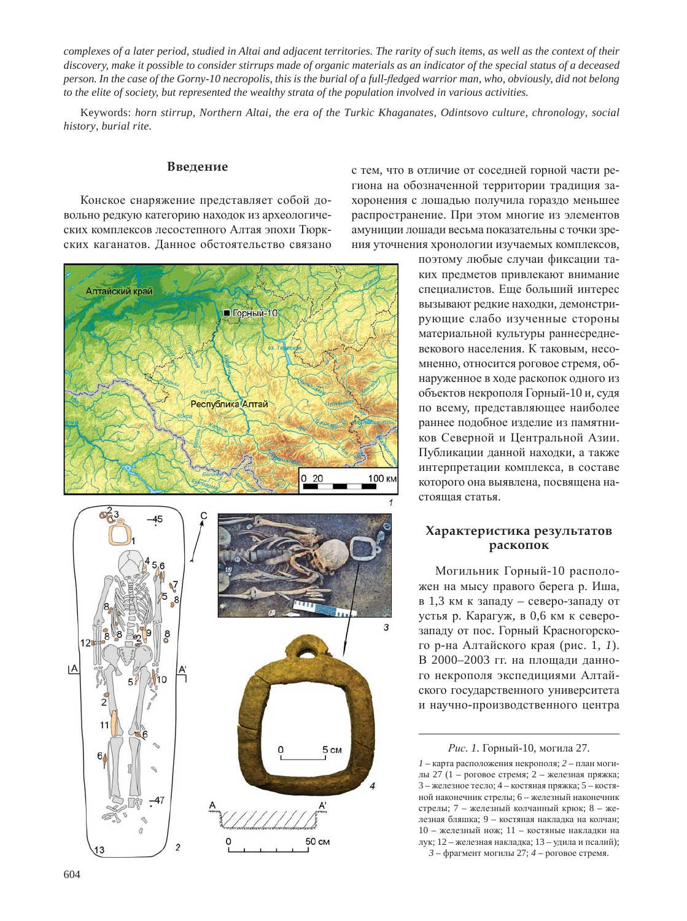*complexes of a later period, studied in Altai and adjacent territories. The rarity of such items, as well as the context of their discovery, make it possible to consider stirrups made of organic materials as an indicator of the special status of a deceased person. In the case of the Gorny-10 necropolis, this is the burial of a full-À edged warrior man, who, obviously, did not belong to the elite of society, but represented the wealthy strata of the population involved in various activities.*

Keywords: *horn stirrup, Northern Altai, the era of the Turkic Khaganates, Odintsovo culture, chronology, social history, burial rite.*

#### **Введение**

Конское снаряжение представляет собой довольно редкую категорию находок из археологических комплексов лесостепного Алтая эпохи Тюркских каганатов. Данное обстоятельство связано



с тем, что в отличие от соседней горной части региона на обозначенной территории традиция захоронения с лошадью получила гораздо меньшее распространение. При этом многие из элементов амуниции лошади весьма показательны с точки зрения уточнения хронологии изучаемых комплексов,

> поэтому любые случаи фиксации таких предметов привлекают внимание специалистов. Еще больший интерес вызывают редкие находки, демонстрирующие слабо изученные стороны материальной культуры раннесредневекового населения. К таковым, несомненно, относится роговое стремя, обнаруженное в ходе раскопок одного из объектов некрополя Горный-10 и, судя по всему, представляющее наиболее раннее подобное изделие из памятников Северной и Центральной Азии. Публикации данной находки, а также интерпретации комплекса, в составе которого она выявлена, посвящена настояшая статья.

### Характеристика результатов **раскопок**

Могильник Горный-10 расположен на мысу правого берега р. Иша, в 1,3 км к западу – северо-западу от устья р. Карагуж, в 0,6 км к северозападу от пос. Горный Красногорского р-на Алтайского края (рис. 1, 1). В 2000–2003 гг. на плошали ланного некрополя экспедициями Алтайского государственного университета и научно-производственного центра

Рис. 1. Горный-10, могила 27.

 $1$  – карта расположения некрополя;  $2$  – план могилы 27 (1 – роговое стремя; 2 – железная пряжка; 3 – железное тесло; 4 – костяная пряжка; 5 – костяной наконечник стрелы; 6 – железный наконечник стрелы: 7 – железный колчанный крюк: 8 – железная бляшка; 9 – костяная накладка на колчан;  $10 -$ железный нож;  $11 -$ костяные накладки на лук; 12 – железная накладка; 13 – удила и псалий);  $3 - \phi$ рагмент могилы 27;  $4 - \rho$ оговое стремя.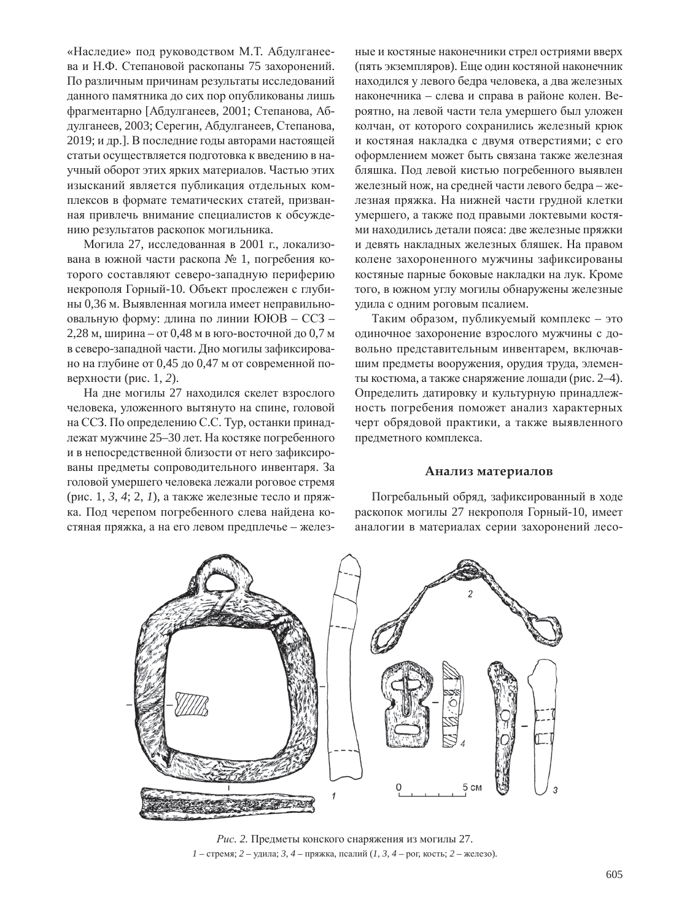«Наследие» под руководством М.Т. Абдулганеева и Н.Ф. Степановой раскопаны 75 захоронений. По различным причинам результаты исследований данного памятника до сих пор опубликованы лишь фрагментарно [Абдулганеев, 2001; Степанова, Абдулганеев, 2003; Серегин, Абдулганеев, Степанова, 2019; и др.]. В последние годы авторами настоящей статьи осуществляется подготовка к введению в научный оборот этих ярких материалов. Частью этих изысканий является публикация отдельных комплексов в формате тематических статей, призванная привлечь внимание специалистов к обсуждению результатов раскопок могильника.

Могила 27, исследованная в 2001 г., локализована в южной части раскопа № 1, погребения которого составляют северо-западную периферию некрополя Горный-10. Объект прослежен с глубины 0,36 м. Выявленная могила имеет неправильноовальную форму: длина по линии ЮЮВ - ССЗ - $2,28$  м, ширина – от 0,48 м в юго-восточной до 0,7 м в северо-западной части. Дно могилы зафиксировано на глубине от 0,45 до 0,47 м от современной поверхности (рис. 1, 2).

На дне могилы 27 находился скелет взрослого человека, уложенного вытянуто на спине, головой на ССЗ. По определению С.С. Тур, останки принадлежат мужчине 25–30 лет. На костяке погребенного и в непосредственной близости от него зафиксированы предметы сопроводительного инвентаря. За головой умершего человека лежали роговое стремя (рис. 1, 3, 4; 2, 1), а также железные тесло и пряжка. Под черепом погребенного слева найдена костяная пряжка, а на его левом предплечье – железные и костяные наконечники стрел остриями вверх (пять экземпляров). Еще один костяной наконечник находился у левого бедра человека, а два железных наконечника – слева и справа в районе колен. Вероятно, на левой части тела умершего был уложен колчан, от которого сохранились железный крюк и костяная накладка с двумя отверстиями; с его оформлением может быть связана также железная бляшка. Под левой кистью погребенного выявлен железный нож, на средней части левого бедра – железная пряжка. На нижней части грудной клетки умершего, а также под правыми локтевыми костями находились детали пояса: две железные пряжки и девять накладных железных бляшек. На правом колене захороненного мужчины зафиксированы костяные парные боковые накладки на лук. Кроме того, в южном углу могилы обнаружены железные удила с одним роговым псалием.

Таким образом, публикуемый комплекс – это одиночное захоронение взрослого мужчины с довольно представительным инвентарем, включавшим предметы вооружения, орудия труда, элементы костюма, а также снаряжение лошади (рис. 2-4). Определить датировку и культурную принадлежность погребения поможет анализ характерных черт обрядовой практики, а также выявленного предметного комплекса.

## Анализ материалов

Погребальный обряд, зафиксированный в ходе раскопок могилы 27 некрополя Горный-10, имеет аналогии в материалах серии захоронений лесо-



Рис. 2. Предметы конского снаряжения из могилы 27.  $1$  – стремя; 2 – удила; 3, 4 – пряжка, псалий (1, 3, 4 – рог, кость; 2 – железо).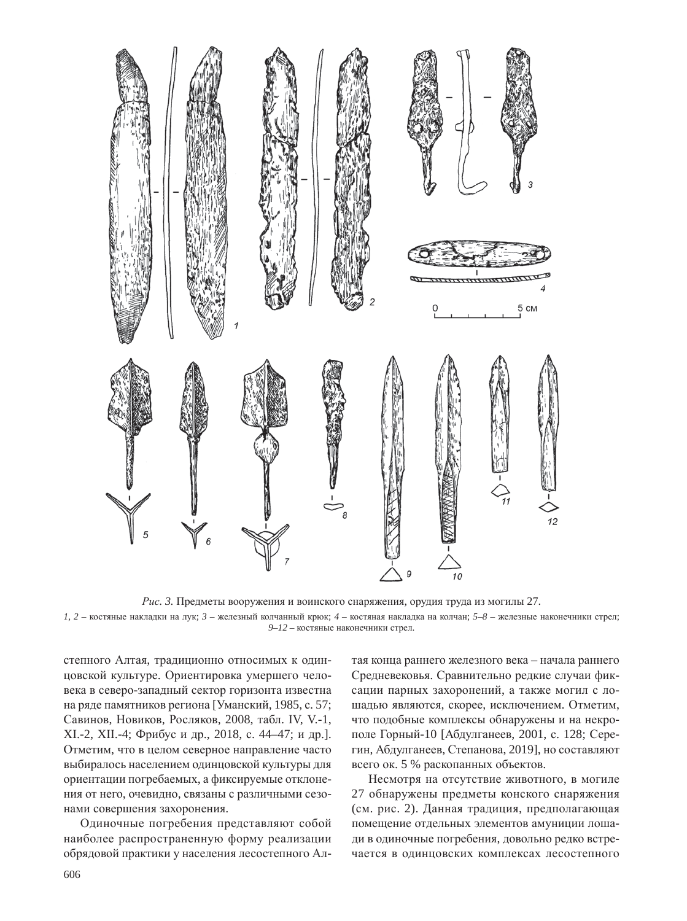

Рис. 3. Предметы вооружения и воинского снаряжения, орудия труда из могилы 27.  $I, 2$  – костяные накладки на лук;  $3$  – железный колчанный крюк;  $4$  – костяная накладка на колчан;  $5-8$  – железные наконечники стрел; 9–12 - костяные наконечники стрел.

степного Алтая, традиционно относимых к одинцовской культуре. Ориентировка умершего человека в северо-западный сектор горизонта известна на ряде памятников региона [Уманский, 1985, с. 57; Савинов, Новиков, Росляков, 2008, табл. IV, V.-1, XI.-2, XII.-4; Фрибус и др., 2018, с. 44–47; и др.]. Отметим, что в целом северное направление часто выбиралось населением одинцовской культуры для ориентации погребаемых, а фиксируемые отклонения от него, очевидно, связаны с различными сезонами совершения захоронения.

Одиночные погребения представляют собой наиболее распространенную форму реализации обрядовой практики у населения лесостепного Алтая конца раннего железного века – начала раннего Средневековья. Сравнительно редкие случаи фиксации парных захоронений, а также могил с лошадью являются, скорее, исключением. Отметим, что подобные комплексы обнаружены и на некрополе Горный-10 [Абдулганеев, 2001, с. 128; Серегин, Абдулганеев, Степанова, 2019], но составляют всего ок. 5 % раскопанных объектов.

Несмотря на отсутствие животного, в могиле 27 обнаружены предметы конского снаряжения (см. рис. 2). Данная традиция, предполагающая помещение отдельных элементов амуниции лошади в одиночные погребения, довольно редко встречается в одинцовских комплексах лесостепного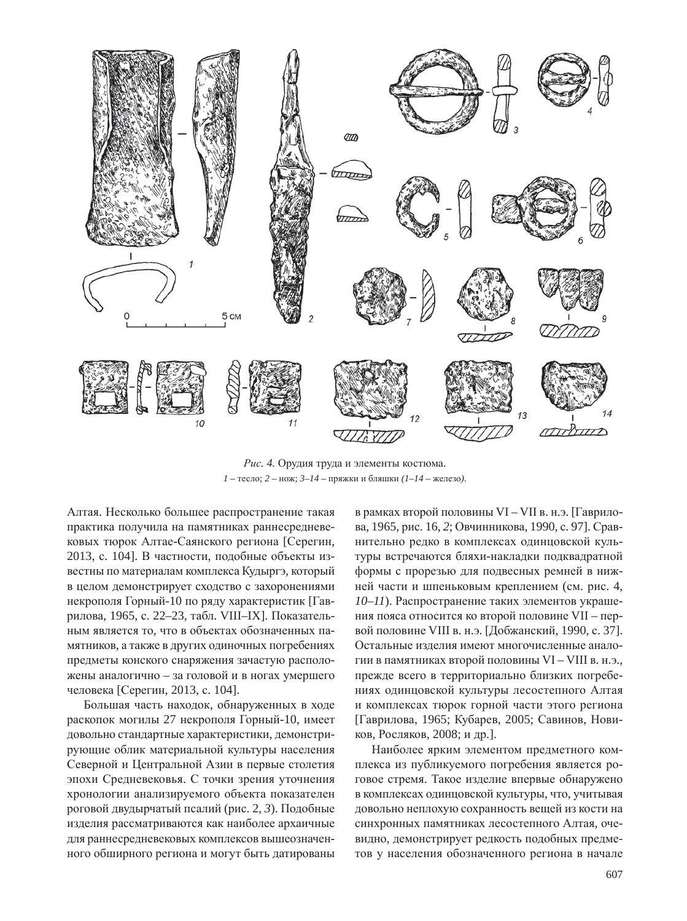

Рис. 4. Орудия труда и элементы костюма.  $1 -$  тесло;  $2 -$  нож;  $3 - 14 -$  пряжки и бляшки  $(1 - 14 -$ железо).

Алтая. Несколько большее распространение такая практика получила на памятниках раннесредневековых тюрок Алтае-Саянского региона [Серегин, 2013, с. 104]. В частности, подобные объекты известны по материалам комплекса Кудыргэ, который в целом демонстрирует сходство с захоронениями некрополя Горный-10 по ряду характеристик [Гаврилова, 1965, с. 22–23, табл. VIII–IX]. Показательным является то, что в объектах обозначенных памятников, а также в других одиночных погребениях предметы конского снаряжения зачастую расположены аналогично – за головой и в ногах умершего человека [Серегин, 2013, с. 104].

Большая часть находок, обнаруженных в ходе раскопок могилы 27 некрополя Горный-10, имеет довольно стандартные характеристики, демонстрирующие облик материальной культуры населения Северной и Центральной Азии в первые столетия эпохи Средневековья. С точки зрения уточнения хронологии анализируемого объекта показателен роговой двудырчатый псалий (рис. 2, 3). Подобные изделия рассматриваются как наиболее архаичные для раннесредневековых комплексов вышеозначенного обширного региона и могут быть датированы в рамках второй половины VI – VII в. н.э. [Гаврилова, 1965, рис. 16, 2; Овчинникова, 1990, с. 97]. Сравнительно редко в комплексах одинцовской культуры встречаются бляхи-накладки подквадратной формы с прорезью для подвесных ремней в нижней части и шпеньковым креплением (см. рис. 4, *10–11*). Распространение таких элементов украшения пояса относится ко второй половине VII – первой половине VIII в. н.э. [Добжанский, 1990, с. 37]. Остальные изделия имеют многочисленные аналогии в памятниках второй половины VI – VIII в. н.э., прежде всего в территориально близких погребениях одинцовской культуры лесостепного Алтая и комплексах тюрок горной части этого региона [Гаврилова, 1965; Кубарев, 2005; Савинов, Новиков, Росляков, 2008; и др.].

Наиболее ярким элементом предметного комплекса из публикуемого погребения является роговое стремя. Такое изделие впервые обнаружено в комплексах одинцовской культуры, что, учитывая довольно неплохую сохранность вещей из кости на синхронных памятниках лесостепного Алтая, очевидно, демонстрирует редкость подобных предметов у населения обозначенного региона в начале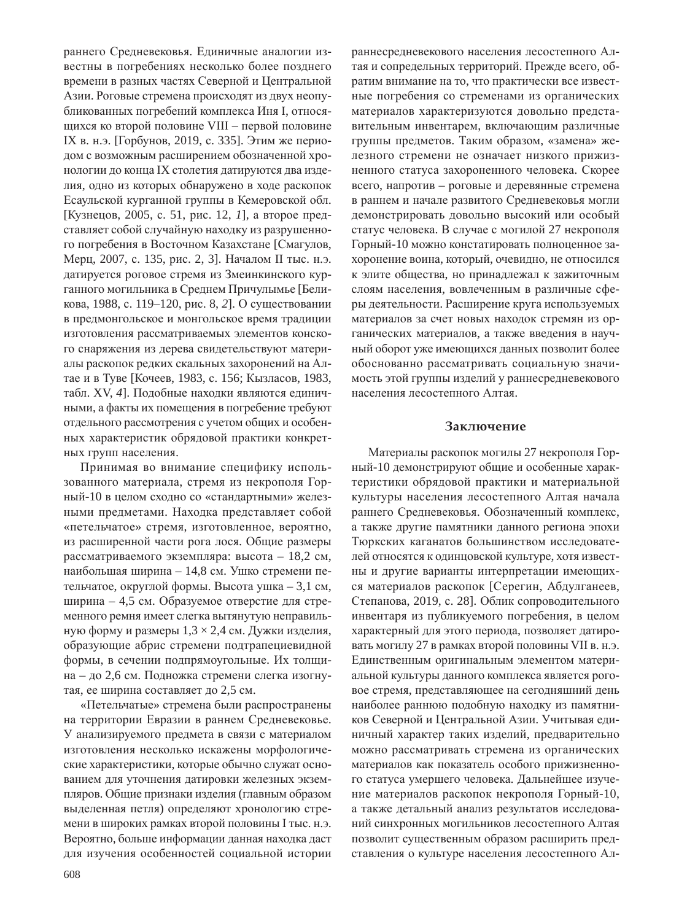раннего Средневековья. Единичные аналогии известны в погребениях несколько более позднего времени в разных частях Северной и Центральной Азии. Роговые стремена происходят из двух неопубликованных погребений комплекса Иня I, относящихся ко второй половине VIII – первой половине IX в. н.э. [Горбунов, 2019, с. 335]. Этим же периодом с возможным расширением обозначенной хронологии до конца IX столетия датируются два изделия, одно из которых обнаружено в ходе раскопок Есаульской курганной группы в Кемеровской обл. [Кузнецов, 2005, с. 51, рис. 12, *1*], а второе представляет собой случайную находку из разрушенного погребения в Восточном Казахстане [Смагулов, Мерц, 2007, с. 135, рис. 2, 3]. Началом II тыс. н.э. датируется роговое стремя из Змеинкинского курганного могильника в Среднем Причулымье [Беликова, 1988, с. 119–120, рис. 8, 2]. О существовании в предмонгольское и монгольское время традиции изготовления рассматриваемых элементов конского снаряжения из дерева свидетельствуют материалы раскопок редких скальных захоронений на Алтае и в Туве [Кочеев, 1983, с. 156; Кызласов, 1983, табл. XV, 4]. Подобные находки являются единичными, а факты их помещения в погребение требуют отдельного рассмотрения с учетом общих и особенных характеристик обрядовой практики конкретных групп населения.

Принимая во внимание специфику использованного материала, стремя из некрополя Горный-10 в целом сходно со «стандартными» железными предметами. Находка представляет собой «петельчатое» стремя, изготовленное, вероятно, из расширенной части рога лося. Общие размеры рассматриваемого экземпляра: высота – 18,2 см, наибольшая ширина – 14,8 см. Ушко стремени петельчатое, округлой формы. Высота ушка - 3,1 см, ширина – 4,5 см. Образуемое отверстие для стременного ремня имеет слегка вытянутую неправильную форму и размеры  $1,3 \times 2,4$  см. Дужки изделия, образующие абрис стремени подтрапециевидной формы, в сечении подпрямоугольные. Их толщина – до 2,6 см. Подножка стремени слегка изогнутая, ее ширина составляет до 2,5 см.

«Петельчатые» стремена были распространены на территории Евразии в раннем Средневековье. У анализируемого предмета в связи с материалом изготовления несколько искажены морфологические характеристики, которые обычно служат основанием для уточнения датировки железных экземпляров. Общие признаки изделия (главным образом выделенная петля) определяют хронологию стремени в широких рамках второй половины I тыс. н.э. Вероятно, больше информации данная находка даст для изучения особенностей социальной истории раннесредневекового населения лесостепного Алтая и сопредельных территорий. Прежде всего, обратим внимание на то, что практически все известные погребения со стременами из органических материалов характеризуются довольно представительным инвентарем, включающим различные группы предметов. Таким образом, «замена» железного стремени не означает низкого прижизненного статуса захороненного человека. Скорее всего, напротив – роговые и деревянные стремена в раннем и начале развитого Средневековья могли демонстрировать довольно высокий или особый статус человека. В случае с могилой 27 некрополя Горный-10 можно констатировать полноценное захоронение воина, который, очевидно, не относился к элите общества, но принадлежал к зажиточным слоям населения, вовлеченным в различные сферы деятельности. Расширение круга используемых материалов за счет новых находок стремян из органических материалов, а также введения в научный оборот уже имеющихся данных позволит более обоснованно рассматривать социальную значимость этой группы изделий у раннесредневекового населения лесостепного Алтая.

#### Заключение

Материалы раскопок могилы 27 некрополя Горный-10 демонстрируют общие и особенные характеристики обрядовой практики и материальной культуры населения лесостепного Алтая начала раннего Средневековья. Обозначенный комплекс, а также другие памятники данного региона эпохи Тюркских каганатов большинством исследователей относятся к одинцовской культуре, хотя известны и другие варианты интерпретации имеющихся материалов раскопок [Серегин, Абдулганеев, Степанова, 2019, с. 28]. Облик сопроводительного инвентаря из публикуемого погребения, в целом характерный для этого периода, позволяет датировать могилу 27 в рамках второй половины VII в. н.э. Единственным оригинальным элементом материальной культуры данного комплекса является роговое стремя, представляющее на сегодняшний день наиболее раннюю подобную находку из памятников Северной и Центральной Азии. Учитывая единичный характер таких изделий, предварительно можно рассматривать стремена из органических материалов как показатель особого прижизненного статуса умершего человека. Дальнейшее изучение материалов раскопок некрополя Горный-10, а также детальный анализ результатов исследований синхронных могильников лесостепного Алтая позволит существенным образом расширить представления о культуре населения лесостепного Ал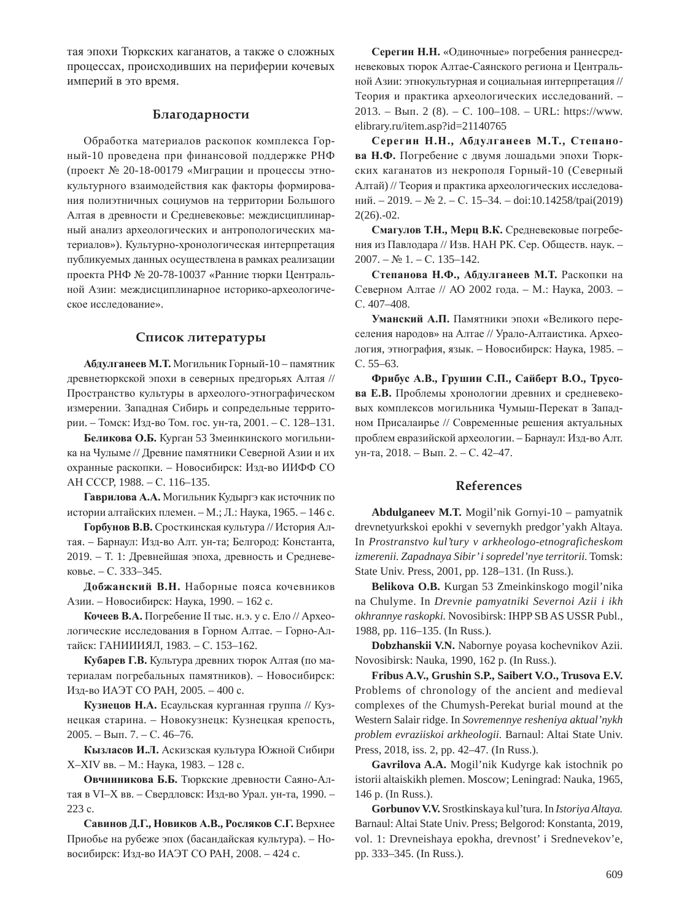тая эпохи Тюркских каганатов, а также о сложных процессах, происходивших на периферии кочевых империй в это время.

#### **Благодарности**

Обработка материалов раскопок комплекса Горный-10 проведена при финансовой поддержке РНФ (проект № 20-18-00179 «Миграции и процессы этнокультурного взаимодействия как факторы формирования полиэтничных социумов на территории Большого Алтая в древности и Средневековье: междисциплинарный анализ археологических и антропологических материалов»). Культурно-хронологическая интерпретация публикуемых данных осуществлена в рамках реализации проекта РНФ № 20-78-10037 «Ранние тюрки Центральной Азии: междисциплинарное историко-археологическое исследование».

#### Список литературы

Абдулганеев М.Т. Могильник Горный-10 – памятник древнетюркской эпохи в северных предгорьях Алтая // Пространство культуры в археолого-этнографическом измерении. Западная Сибирь и сопредельные территории. – Томск: Изд-во Том. гос. ун-та, 2001. – С. 128–131.

Беликова О.Б. Курган 53 Змеинкинского могильника на Чулыме // Древние памятники Северной Азии и их охранные раскопки. – Новосибирск: Изд-во ИИФФ СО AH CCCP, 1988. - C. 116-135.

Гаврилова А.А. Могильник Кудыргэ как источник по истории алтайских племен. – М.; Л.: Наука, 1965. – 146 с.

Горбунов В.В. Сросткинская культура // История Алтая. – Барнаул: Изд-во Алт. ун-та; Белгород: Константа, 2019. – Т. 1: Древнейшая эпоха, древность и Средневековье. – С. 333–345.

Добжанский В.Н. Наборные пояса кочевников Азии. – Новосибирск: Наука, 1990. – 162 с.

Кочеев В.А. Погребение II тыс. н.э. у с. Ело // Археологические исследования в Горном Алтае. – Горно-Алтайск: ГАНИИИЯЛ, 1983. – С. 153-162.

Кубарев Г.В. Культура древних тюрок Алтая (по материалам погребальных памятников). – Новосибирск: Изд-во ИАЭТ СО РАН, 2005. – 400 с.

Кузнецов Н.А. Есаульская курганная группа // Кузнецкая старина. – Новокузнецк: Кузнецкая крепость, 2005. – Вып. 7. – С. 46–76.

Кызласов И.Л. Аскизская культура Южной Сибири X-XIV вв. - М.: Наука, 1983. - 128 с.

Овчинникова Б.Б. Тюркские древности Саяно-Алтая в VI–X вв. – Свердловск: Изд-во Урал. ун-та, 1990. – 223 c.

 $C$ авинов Д.Г., Новиков А.В., Росляков С.Г. Верхнее Приобье на рубеже эпох (басандайская культура). – Новосибирск: Изд-во ИАЭТ СО РАН, 2008. – 424 с.

Серегин Н.Н. «Одиночные» погребения раннесредневековых тюрок Алтае-Саянского региона и Центральной Азии: этнокультурная и социальная интерпретация // Теория и практика археологических исследований. - $2013. - B_{\text{MIT}}$ . 2 (8). – C. 100–108. – URL: https://www. elibrary.ru/item.asp?id=21140765

Серегин Н.Н., Абдулганеев М.Т., Степано**ва Н.Ф.** Погребение с двумя лошадьми эпохи Тюркских каганатов из некрополя Горный-10 (Северный Алтай) // Теория и практика археологических исследований. – 2019. – № 2. – С. 15–34. – doi:10.14258/tpai(2019) 2(26).-02.

Смагулов Т.Н., Мерц В.К. Средневековые погребения из Павлодара // Изв. НАН РК. Сер. Обществ. наук. - $2007. - N_2 1. - C. 135 - 142.$ 

Степанова Н.Ф., Абдулганеев М.Т. Раскопки на Северном Алтае // АО 2002 года. – М.: Наука, 2003. – C. 407-408.

**Уманский А.П.** Памятники эпохи «Великого переселения народов» на Алтае // Урало-Алтаистика. Археология, этнография, язык. – Новосибирск: Наука, 1985. – ɋ. 55–63.

**Ɏɪɢɛɭɫ Ⱥ.ȼ., Ƚɪɭɲɢɧ ɋ.ɉ., ɋɚɣɛɟɪɬ ȼ.Ɉ., Ɍɪɭɫɨва Е.В.** Проблемы хронологии древних и средневековых комплексов могильника Чумыш-Перекат в Западном Присалаирье // Современные решения актуальных проблем евразийской археологии. – Барнаул: Изд-во Алт. ун-та, 2018. – Вып. 2. – С. 42–47.

#### **References**

**Abdulganeev M.T.** Mogil'nik Gornyi-10 – pamyatnik drevnetyurkskoi epokhi v severnykh predgor'yakh Altaya. In *Prostranstvo kul'tury v arkheologo-etnograficheskom izmerenii. Zapadnaya Sibir' i sopredel'nye territorii.* Tomsk: State Univ. Press, 2001, pp. 128–131. (In Russ.).

**Belikova O.B.** Kurgan 53 Zmeinkinskogo mogil'nika na Chulyme. In *Drevnie pamyatniki Severnoi Azii i ikh okhrannye raskopki.* Novosibirsk: IHPP SB AS USSR Publ., 1988, pp. 116–135. (In Russ.).

**Dobzhanskii V.N.** Nabornye poyasa kochevnikov Azii. Novosibirsk: Nauka, 1990, 162 p. (In Russ.).

**Fribus A.V., Grushin S.P., Saibert V.O., Trusova E.V.** Problems of chronology of the ancient and medieval complexes of the Chumysh-Perekat burial mound at the Western Salair ridge. In *Sovremennye resheniya aktual'nykh problem evraziiskoi arkheologii.* Barnaul: Altai State Univ. Press, 2018, iss. 2, pp. 42–47. (In Russ.).

**Gavrilova A.A.** Mogil'nik Kudyrge kak istochnik po istorii altaiskikh plemen. Moscow; Leningrad: Nauka, 1965, 146 p. (In Russ.).

**Gorbunov V.V.** Srostkinskaya kul'tura. In *Istoriya Altaya.* Barnaul: Altai State Univ. Press; Belgorod: Konstanta, 2019, vol. 1: Drevneishaya epokha, drevnost' i Srednevekov'e, pp. 333–345. (In Russ.).